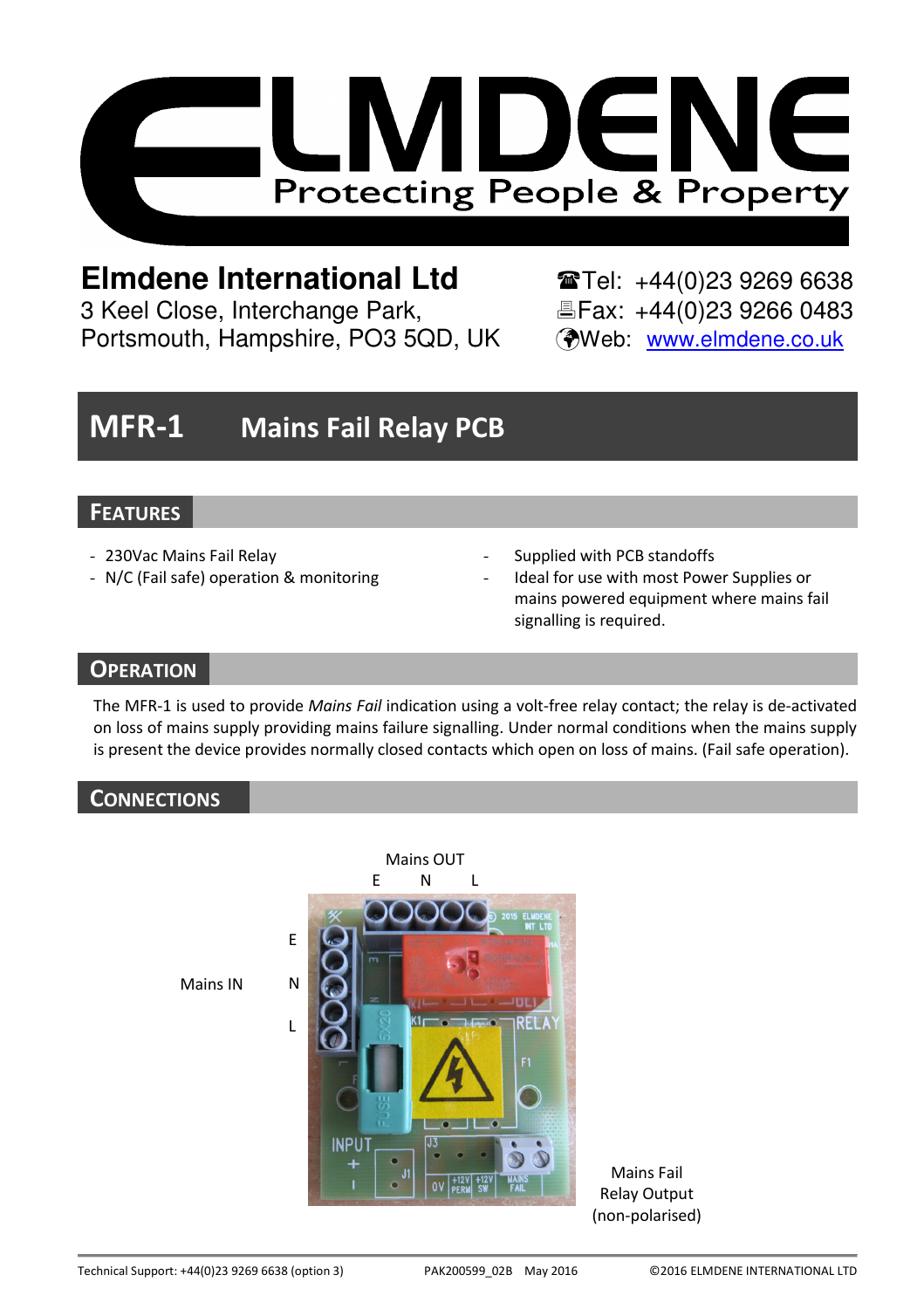

# **Elmdene International Ltd**  $\bullet$  **Tel: +44(0)23 9269 6638**

3 Keel Close, Interchange Park, Eleax: +44(0)23 9266 0483 Portsmouth, Hampshire, PO3 5QD, UK (Web: www.elmdene.co.uk

# MFR-1 Mains Fail Relay PCB

## **FEATURES**

- 230Vac Mains Fail Relay
- N/C (Fail safe) operation & monitoring
- Supplied with PCB standoffs
- Ideal for use with most Power Supplies or mains powered equipment where mains fail signalling is required.

# **OPERATION**

The MFR-1 is used to provide Mains Fail indication using a volt-free relay contact; the relay is de-activated on loss of mains supply providing mains failure signalling. Under normal conditions when the mains supply is present the device provides normally closed contacts which open on loss of mains. (Fail safe operation).

# **CONNECTIONS**



Mains Fail Relay Output (non-polarised)

Mains IN